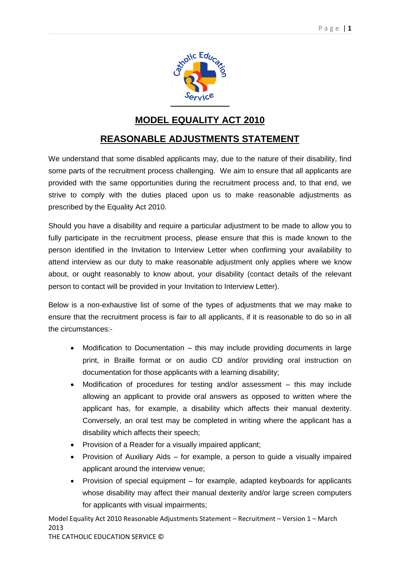

## **MODEL EQUALITY ACT 2010**

## **REASONABLE ADJUSTMENTS STATEMENT**

We understand that some disabled applicants may, due to the nature of their disability, find some parts of the recruitment process challenging. We aim to ensure that all applicants are provided with the same opportunities during the recruitment process and, to that end, we strive to comply with the duties placed upon us to make reasonable adjustments as prescribed by the Equality Act 2010.

Should you have a disability and require a particular adjustment to be made to allow you to fully participate in the recruitment process, please ensure that this is made known to the person identified in the Invitation to Interview Letter when confirming your availability to attend interview as our duty to make reasonable adjustment only applies where we know about, or ought reasonably to know about, your disability (contact details of the relevant person to contact will be provided in your Invitation to Interview Letter).

Below is a non-exhaustive list of some of the types of adjustments that we may make to ensure that the recruitment process is fair to all applicants, if it is reasonable to do so in all the circumstances:-

- Modification to Documentation this may include providing documents in large print, in Braille format or on audio CD and/or providing oral instruction on documentation for those applicants with a learning disability;
- Modification of procedures for testing and/or assessment this may include allowing an applicant to provide oral answers as opposed to written where the applicant has, for example, a disability which affects their manual dexterity. Conversely, an oral test may be completed in writing where the applicant has a disability which affects their speech;
- Provision of a Reader for a visually impaired applicant;
- Provision of Auxiliary Aids for example, a person to guide a visually impaired applicant around the interview venue;
- Provision of special equipment for example, adapted keyboards for applicants whose disability may affect their manual dexterity and/or large screen computers for applicants with visual impairments;

Model Equality Act 2010 Reasonable Adjustments Statement – Recruitment – Version 1 – March 2013